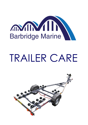

## TRAILER CARE